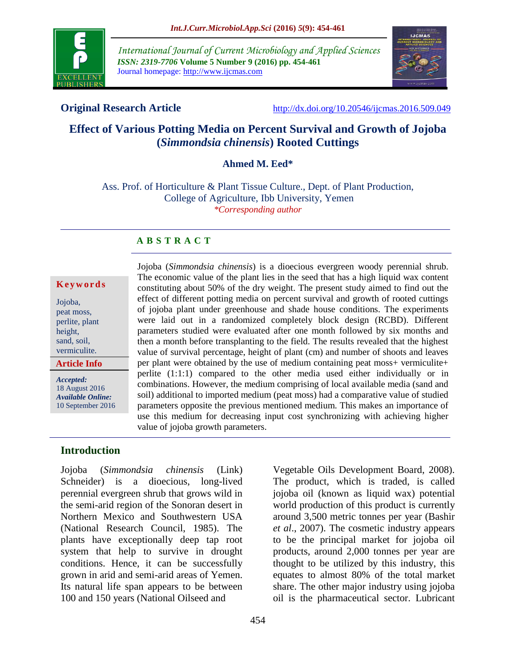

*International Journal of Current Microbiology and Applied Sciences ISSN: 2319-7706* **Volume 5 Number 9 (2016) pp. 454-461** Journal homepage: http://www.ijcmas.com



**Original Research Article** <http://dx.doi.org/10.20546/ijcmas.2016.509.049>

# **Effect of Various Potting Media on Percent Survival and Growth of Jojoba (***Simmondsia chinensis***) Rooted Cuttings**

#### **Ahmed M. Eed\***

Ass. Prof. of Horticulture & Plant Tissue Culture., Dept. of Plant Production, College of Agriculture, Ibb University, Yemen *\*Corresponding author*

## **A B S T R A C T**

#### **K e y w o r d s**

| <b>Article Info</b> |
|---------------------|
| vermiculite.        |
| sand, soil,         |
| height,             |
| perlite, plant      |
| peat moss,          |
| Jojoba,             |
|                     |

*Accepted:*  18 August 2016 *Available Online:*

10 September 2016

Jojoba (*Simmondsia chinensis*) is a dioecious evergreen woody perennial shrub. The economic value of the plant lies in the seed that has a high liquid wax content constituting about 50% of the dry weight. The present study aimed to find out the effect of different potting media on percent survival and growth of rooted cuttings of jojoba plant under greenhouse and shade house conditions. The experiments were laid out in a randomized completely block design (RCBD). Different parameters studied were evaluated after one month followed by six months and then a month before transplanting to the field. The results revealed that the highest value of survival percentage, height of plant (cm) and number of shoots and leaves per plant were obtained by the use of medium containing peat moss+ vermiculite+ perlite (1:1:1) compared to the other media used either individually or in combinations. However, the medium comprising of local available media (sand and soil) additional to imported medium (peat moss) had a comparative value of studied parameters opposite the previous mentioned medium. This makes an importance of use this medium for decreasing input cost synchronizing with achieving higher value of jojoba growth parameters.

#### **Introduction**

Jojoba (*Simmondsia chinensis* (Link) Schneider) is a dioecious, long-lived perennial evergreen shrub that grows wild in the semi-arid region of the Sonoran desert in Northern Mexico and Southwestern USA (National Research Council, 1985). The plants have exceptionally deep tap root system that help to survive in drought conditions. Hence, it can be successfully grown in arid and semi-arid areas of Yemen. Its natural life span appears to be between 100 and 150 years (National Oilseed and

Vegetable Oils Development Board, 2008). The product, which is traded, is called jojoba oil (known as liquid wax) potential world production of this product is currently around 3,500 metric tonnes per year (Bashir *et al*., 2007). The cosmetic industry appears to be the principal market for jojoba oil products, around 2,000 tonnes per year are thought to be utilized by this industry, this equates to almost 80% of the total market share. The other major industry using jojoba oil is the pharmaceutical sector. Lubricant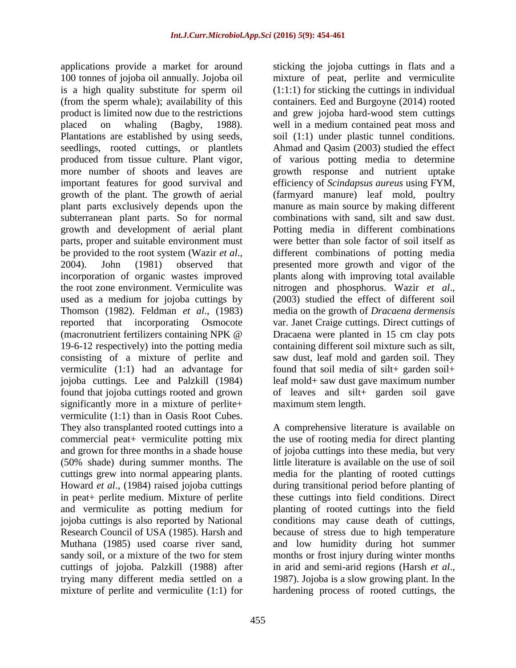applications provide a market for around 100 tonnes of jojoba oil annually. Jojoba oil is a high quality substitute for sperm oil (from the sperm whale); availability of this product is limited now due to the restrictions placed on whaling (Bagby, 1988). Plantations are established by using seeds, seedlings, rooted cuttings, or plantlets produced from tissue culture. Plant vigor, more number of shoots and leaves are important features for good survival and growth of the plant. The growth of aerial plant parts exclusively depends upon the subterranean plant parts. So for normal growth and development of aerial plant parts, proper and suitable environment must be provided to the root system (Wazir *et al*., 2004). John (1981) observed that incorporation of organic wastes improved the root zone environment. Vermiculite was used as a medium for jojoba cuttings by Thomson (1982). Feldman *et al*., (1983) reported that incorporating Osmocote (macronutrient fertilizers containing NPK @ 19-6-12 respectively) into the potting media consisting of a mixture of perlite and vermiculite (1:1) had an advantage for jojoba cuttings. Lee and Palzkill (1984) found that jojoba cuttings rooted and grown significantly more in a mixture of perlite+ vermiculite (1:1) than in Oasis Root Cubes. They also transplanted rooted cuttings into a commercial peat+ vermiculite potting mix and grown for three months in a shade house (50% shade) during summer months. The cuttings grew into normal appearing plants. Howard *et al*., (1984) raised jojoba cuttings in peat+ perlite medium. Mixture of perlite and vermiculite as potting medium for jojoba cuttings is also reported by National Research Council of USA (1985). Harsh and Muthana (1985) used coarse river sand, sandy soil, or a mixture of the two for stem cuttings of jojoba. Palzkill (1988) after trying many different media settled on a mixture of perlite and vermiculite (1:1) for

sticking the jojoba cuttings in flats and a mixture of peat, perlite and vermiculite  $(1:1:1)$  for sticking the cuttings in individual containers. Eed and Burgoyne (2014) rooted and grew jojoba hard-wood stem cuttings well in a medium contained peat moss and soil (1:1) under plastic tunnel conditions. Ahmad and Qasim (2003) studied the effect of various potting media to determine growth response and nutrient uptake efficiency of *Scindapsus aureus* using FYM, (farmyard manure) leaf mold, poultry manure as main source by making different combinations with sand, silt and saw dust. Potting media in different combinations were better than sole factor of soil itself as different combinations of potting media presented more growth and vigor of the plants along with improving total available nitrogen and phosphorus. Wazir *et al*., (2003) studied the effect of different soil media on the growth of *Dracaena dermensis* var. Janet Craige cuttings. Direct cuttings of Dracaena were planted in 15 cm clay pots containing different soil mixture such as silt, saw dust, leaf mold and garden soil. They found that soil media of  $silt+$  garden soil+ leaf mold+ saw dust gave maximum number of leaves and silt+ garden soil gave maximum stem length.

A comprehensive literature is available on the use of rooting media for direct planting of jojoba cuttings into these media, but very little literature is available on the use of soil media for the planting of rooted cuttings during transitional period before planting of these cuttings into field conditions. Direct planting of rooted cuttings into the field conditions may cause death of cuttings, because of stress due to high temperature and low humidity during hot summer months or frost injury during winter months in arid and semi-arid regions (Harsh *et al*., 1987). Jojoba is a slow growing plant. In the hardening process of rooted cuttings, the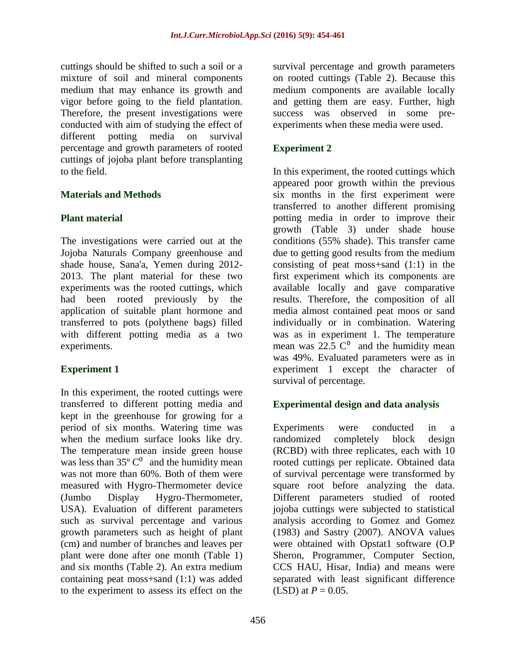cuttings should be shifted to such a soil or a mixture of soil and mineral components medium that may enhance its growth and vigor before going to the field plantation. Therefore, the present investigations were conducted with aim of studying the effect of different potting media on survival percentage and growth parameters of rooted cuttings of jojoba plant before transplanting to the field.

## **Materials and Methods**

## **Plant material**

The investigations were carried out at the Jojoba Naturals Company greenhouse and shade house, Sana'a, Yemen during 2012- 2013. The plant material for these two experiments was the rooted cuttings, which had been rooted previously by the application of suitable plant hormone and transferred to pots (polythene bags) filled with different potting media as a two experiments.

## **Experiment 1**

In this experiment, the rooted cuttings were transferred to different potting media and kept in the greenhouse for growing for a period of six months. Watering time was when the medium surface looks like dry. The temperature mean inside green house was less than  $35^{\circ}$  C<sup>0</sup> and the humidity mean was not more than 60%. Both of them were measured with Hygro-Thermometer device (Jumbo Display Hygro-Thermometer, USA). Evaluation of different parameters such as survival percentage and various growth parameters such as height of plant (cm) and number of branches and leaves per plant were done after one month (Table 1) and six months (Table 2). An extra medium containing peat moss+sand (1:1) was added to the experiment to assess its effect on the

survival percentage and growth parameters on rooted cuttings (Table 2). Because this medium components are available locally and getting them are easy. Further, high success was observed in some preexperiments when these media were used.

## **Experiment 2**

In this experiment, the rooted cuttings which appeared poor growth within the previous six months in the first experiment were transferred to another different promising potting media in order to improve their growth (Table 3) under shade house conditions (55% shade). This transfer came due to getting good results from the medium consisting of peat moss+sand (1:1) in the first experiment which its components are available locally and gave comparative results. Therefore, the composition of all media almost contained peat moos or sand individually or in combination. Watering was as in experiment 1. The temperature mean was  $22.5 \text{ }^{\degree}$  and the humidity mean was 49%. Evaluated parameters were as in experiment 1 except the character of survival of percentage.

## **Experimental design and data analysis**

Experiments were conducted in a randomized completely block design (RCBD) with three replicates, each with 10 rooted cuttings per replicate. Obtained data of survival percentage were transformed by square root before analyzing the data. Different parameters studied of rooted jojoba cuttings were subjected to statistical analysis according to Gomez and Gomez (1983) and Sastry (2007). ANOVA values were obtained with Opstat1 software (O.P) Sheron, Programmer, Computer Section, CCS HAU, Hisar, India) and means were separated with least significant difference (LSD) at  $P = 0.05$ .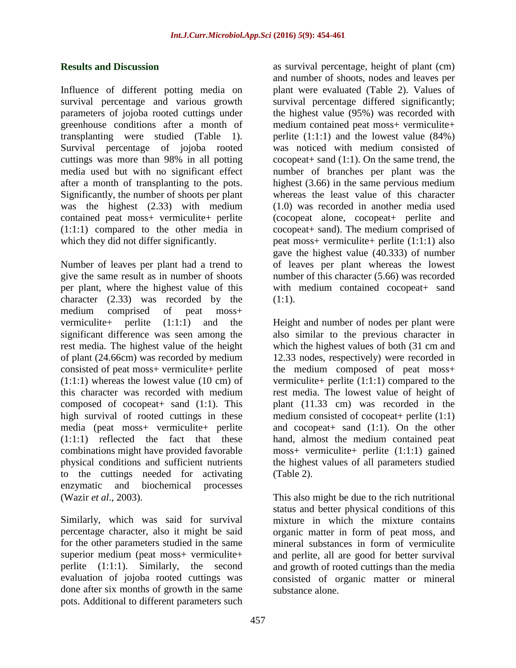### **Results and Discussion**

Influence of different potting media on survival percentage and various growth parameters of jojoba rooted cuttings under greenhouse conditions after a month of transplanting were studied (Table 1). Survival percentage of jojoba rooted cuttings was more than 98% in all potting media used but with no significant effect after a month of transplanting to the pots. Significantly, the number of shoots per plant was the highest (2.33) with medium contained peat moss+ vermiculite+ perlite (1:1:1) compared to the other media in which they did not differ significantly.

Number of leaves per plant had a trend to give the same result as in number of shoots per plant, where the highest value of this character (2.33) was recorded by the medium comprised of peat moss+ vermiculite+ perlite (1:1:1) and the significant difference was seen among the rest media. The highest value of the height of plant (24.66cm) was recorded by medium consisted of peat moss+ vermiculite+ perlite  $(1:1:1)$  whereas the lowest value  $(10 \text{ cm})$  of this character was recorded with medium composed of cocopeat  $s$  sand  $(1:1)$ . This high survival of rooted cuttings in these media (peat moss+ vermiculite+ perlite (1:1:1) reflected the fact that these combinations might have provided favorable physical conditions and sufficient nutrients to the cuttings needed for activating enzymatic and biochemical processes (Wazir *et al*., 2003).

Similarly, which was said for survival percentage character, also it might be said for the other parameters studied in the same superior medium (peat moss+ vermiculite+ perlite (1:1:1). Similarly, the second evaluation of jojoba rooted cuttings was done after six months of growth in the same pots. Additional to different parameters such

as survival percentage, height of plant (cm) and number of shoots, nodes and leaves per plant were evaluated (Table 2). Values of survival percentage differed significantly; the highest value (95%) was recorded with medium contained peat moss+ vermiculite+ perlite  $(1:1:1)$  and the lowest value  $(84%)$ was noticed with medium consisted of cocopeat+ sand (1:1). On the same trend, the number of branches per plant was the highest (3.66) in the same pervious medium whereas the least value of this character (1.0) was recorded in another media used (cocopeat alone, cocopeat+ perlite and cocopeat+ sand). The medium comprised of peat moss+ vermiculite+ perlite (1:1:1) also gave the highest value (40.333) of number of leaves per plant whereas the lowest number of this character (5.66) was recorded with medium contained cocopeat+ sand  $(1:1).$ 

Height and number of nodes per plant were also similar to the previous character in which the highest values of both (31 cm and 12.33 nodes, respectively) were recorded in the medium composed of peat moss+ vermiculite+ perlite (1:1:1) compared to the rest media. The lowest value of height of plant (11.33 cm) was recorded in the medium consisted of cocopeat + perlite  $(1:1)$ and cocopeat  $s$  sand  $(1:1)$ . On the other hand, almost the medium contained peat moss+ vermiculite+ perlite (1:1:1) gained the highest values of all parameters studied (Table 2).

This also might be due to the rich nutritional status and better physical conditions of this mixture in which the mixture contains organic matter in form of peat moss, and mineral substances in form of vermiculite and perlite, all are good for better survival and growth of rooted cuttings than the media consisted of organic matter or mineral substance alone.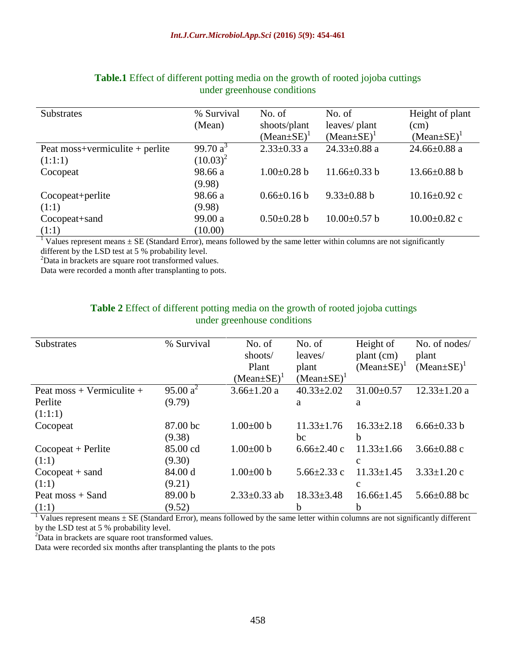| <b>Substrates</b>               | % Survival  | No. of            | No. of             | Height of plant    |
|---------------------------------|-------------|-------------------|--------------------|--------------------|
|                                 | (Mean)      | shoots/plant      | leaves/ plant      | (cm)               |
|                                 |             | $(Mean \pm SE)^T$ | $(Mean \pm SE)^T$  | $(Mean \pm SE)^T$  |
| Peat moss+vermiculite + perlite | 99.70 $a^3$ | $2.33 \pm 0.33$ a | $24.33 \pm 0.88$ a | 24.66 $\pm$ 0.88 a |
| (1:1:1)                         | $(10.03)^2$ |                   |                    |                    |
| Cocopeat                        | 98.66 a     | $1.00\pm0.28$ b   | $11.66 \pm 0.33$ b | $13.66 \pm 0.88$ b |
|                                 | (9.98)      |                   |                    |                    |
| Cocopeat+perlite                | 98.66 a     | $0.66 \pm 0.16 b$ | $9.33 \pm 0.88$ b  | $10.16 \pm 0.92$ c |
| (1:1)                           | (9.98)      |                   |                    |                    |
| Cocopeat+sand                   | 99.00 a     | $0.50 \pm 0.28$ b | $10.00 \pm 0.57$ b | $10.00 \pm 0.82$ c |
| (1:1)                           | (10.00)     |                   |                    |                    |

#### **Table.1** Effect of different potting media on the growth of rooted jojoba cuttings under greenhouse conditions

<sup>1</sup> Values represent means  $\pm$  SE (Standard Error), means followed by the same letter within columns are not significantly different by the LSD test at 5 % probability level.

<sup>2</sup>Data in brackets are square root transformed values.

Data were recorded a month after transplanting to pots.

### **Table 2** Effect of different potting media on the growth of rooted jojoba cuttings under greenhouse conditions

| <b>Substrates</b>                                 | % Survival         | No. of             | No. of            | Height of         | No. of nodes/      |
|---------------------------------------------------|--------------------|--------------------|-------------------|-------------------|--------------------|
|                                                   |                    | shoots/            | leaves/           | plant (cm)        | plant              |
|                                                   |                    | Plant              | plant             | $(Mean \pm SE)^T$ | $(Mean \pm SE)^T$  |
|                                                   |                    | $(Mean \pm SE)^T$  | $(Mean \pm SE)^T$ |                   |                    |
| Peat moss + Vermiculite +                         | $95.00 a^2$        | $3.66 \pm 1.20$ a  | $40.33 \pm 2.02$  | $31.00 \pm 0.57$  | $12.33 \pm 1.20$ a |
| Perlite                                           | (9.79)             |                    | a                 | a                 |                    |
| (1:1:1)                                           |                    |                    |                   |                   |                    |
| Cocopeat                                          | 87.00 bc           | $1.00\pm00$ b      | $11.33 \pm 1.76$  | $16.33 \pm 2.18$  | $6.66 \pm 0.33$ b  |
|                                                   | (9.38)             |                    | bc                | b                 |                    |
| $Co\operatorname{copeat} + \operatorname{Perlit}$ | 85.00 cd           | $1.00\pm00$ b      | $6.66\pm2.40$ c   | $11.33 \pm 1.66$  | 3.66 $\pm$ 0.88 c  |
| (1:1)                                             | (9.30)             |                    |                   | C                 |                    |
| $Co\operatorname{copeat} + \operatorname{sand}$   | 84.00 d            | $1.00 \pm 00$ b    | $5.66 \pm 2.33$ c | $11.33 \pm 1.45$  | $3.33 \pm 1.20$ c  |
| (1:1)                                             | (9.21)             |                    |                   | c                 |                    |
| Peat $m$ oss + Sand                               | 89.00 <sub>b</sub> | $2.33 \pm 0.33$ ab | $18.33 \pm 3.48$  | $16.66 \pm 1.45$  | 5.66 $\pm$ 0.88 bc |
| (1:1)                                             | (9.52)             |                    | h                 | b                 |                    |

<sup>1</sup> Values represent means  $\pm$  SE (Standard Error), means followed by the same letter within columns are not significantly different by the LSD test at 5 % probability level.

<sup>2</sup>Data in brackets are square root transformed values.

Data were recorded six months after transplanting the plants to the pots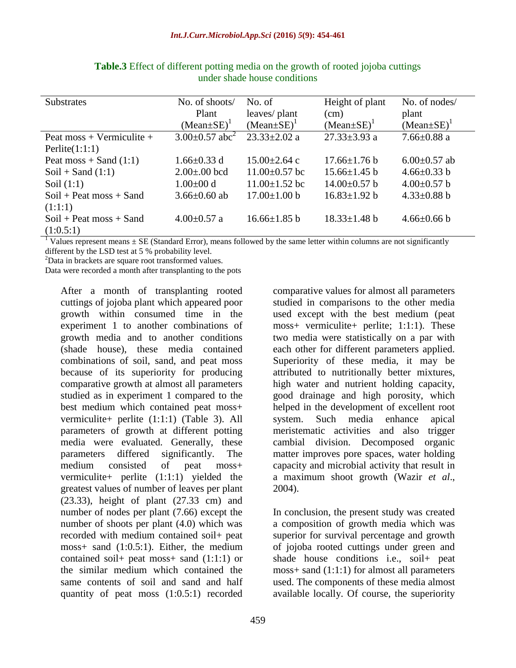| <b>Substrates</b>         | No. of shoots/                 | No. of              | Height of plant    | No. of nodes/     |
|---------------------------|--------------------------------|---------------------|--------------------|-------------------|
|                           | Plant                          | leaves/ plant       | (cm)               | plant             |
|                           | $(Mean \pm SE)^T$              | $(Mean \pm SE)^T$   | $(Mean \pm SE)^T$  | $(Mean \pm SE)^T$ |
| Peat moss + Vermiculite + | $3.00\pm0.57$ abc <sup>2</sup> | $23.33 \pm 2.02$ a  | $27.33 \pm 3.93$ a | $7.66 \pm 0.88$ a |
| Perlite $(1:1:1)$         |                                |                     |                    |                   |
| Peat moss $+$ Sand (1:1)  | $1.66 \pm 0.33$ d              | $15.00 \pm 2.64$ c  | $17.66 \pm 1.76 b$ | $6.00\pm0.57$ ab  |
| $Soil + Sand (1:1)$       | $2.00 \pm 0.00$ bcd            | $11.00\pm0.57$ bc   | $15.66\pm1.45$ b   | $4.66 \pm 0.33$ b |
| Soil $(1:1)$              | $1.00 \pm 00 d$                | $11.00 \pm 1.52$ bc | $14.00\pm0.57$ b   | $4.00\pm0.57$ b   |
| $Soil + Peat$ moss + Sand | $3.66 \pm 0.60$ ab             | $17.00 \pm 1.00$ b  | $16.83 \pm 1.92 b$ | $4.33 \pm 0.88$ b |
| (1:1:1)                   |                                |                     |                    |                   |
| $Soil + Peat$ moss + Sand | $4.00 \pm 0.57$ a              | $16.66 \pm 1.85$ b  | $18.33 \pm 1.48$ b | $4.66 \pm 0.66$ b |
| (1:0.5:1)                 |                                |                     |                    |                   |

**Table.3** Effect of different potting media on the growth of rooted jojoba cuttings under shade house conditions

<sup>1</sup> Values represent means  $\pm$  SE (Standard Error), means followed by the same letter within columns are not significantly different by the LSD test at 5 % probability level.

<sup>2</sup>Data in brackets are square root transformed values.

Data were recorded a month after transplanting to the pots

After a month of transplanting rooted cuttings of jojoba plant which appeared poor growth within consumed time in the experiment 1 to another combinations of growth media and to another conditions (shade house), these media contained combinations of soil, sand, and peat moss because of its superiority for producing comparative growth at almost all parameters studied as in experiment 1 compared to the best medium which contained peat moss+ vermiculite+ perlite (1:1:1) (Table 3). All parameters of growth at different potting media were evaluated. Generally, these parameters differed significantly. The medium consisted of peat moss+ vermiculite+ perlite (1:1:1) yielded the greatest values of number of leaves per plant (23.33), height of plant (27.33 cm) and number of nodes per plant (7.66) except the number of shoots per plant (4.0) which was recorded with medium contained soil+ peat moss+ sand (1:0.5:1). Either, the medium contained soil+ peat moss+ sand (1:1:1) or the similar medium which contained the same contents of soil and sand and half quantity of peat moss (1:0.5:1) recorded

comparative values for almost all parameters studied in comparisons to the other media used except with the best medium (peat moss+ vermiculite+ perlite; 1:1:1). These two media were statistically on a par with each other for different parameters applied. Superiority of these media, it may be attributed to nutritionally better mixtures, high water and nutrient holding capacity, good drainage and high porosity, which helped in the development of excellent root system. Such media enhance apical meristematic activities and also trigger cambial division. Decomposed organic matter improves pore spaces, water holding capacity and microbial activity that result in a maximum shoot growth (Wazir *et al*., 2004).

In conclusion, the present study was created a composition of growth media which was superior for survival percentage and growth of jojoba rooted cuttings under green and shade house conditions i.e., soil+ peat moss+ sand (1:1:1) for almost all parameters used. The components of these media almost available locally. Of course, the superiority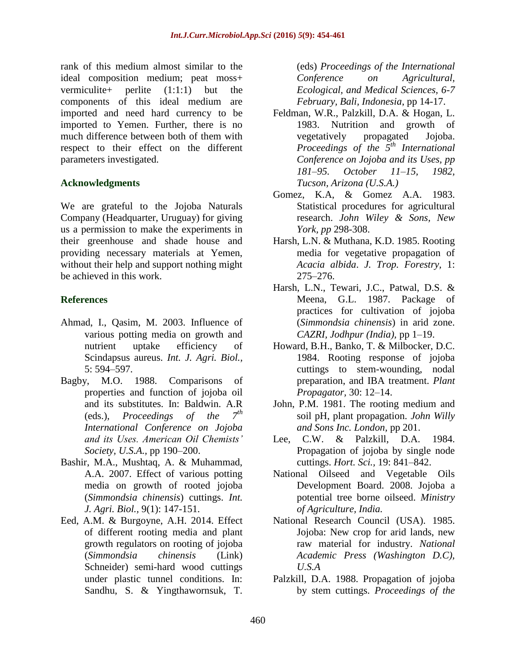rank of this medium almost similar to the ideal composition medium; peat moss+ vermiculite+ perlite (1:1:1) but the components of this ideal medium are imported and need hard currency to be imported to Yemen. Further, there is no much difference between both of them with respect to their effect on the different parameters investigated.

## **Acknowledgments**

We are grateful to the Jojoba Naturals Company (Headquarter, Uruguay) for giving us a permission to make the experiments in their greenhouse and shade house and providing necessary materials at Yemen, without their help and support nothing might be achieved in this work.

## **References**

- Ahmad, I., Qasim, M. 2003. Influence of various potting media on growth and nutrient uptake efficiency of Scindapsus aureus. *Int. J. Agri. Biol.,*  5: 594–597.
- Bagby, M.O. 1988. Comparisons of properties and function of jojoba oil and its substitutes. In: Baldwin. A.R (eds.)*, Proceedings of the 7th International Conference on Jojoba and its Uses. American Oil Chemists' Society, U.S.A.,* pp 190–200.
- Bashir, M.A., Mushtaq, A. & Muhammad, A.A. 2007. Effect of various potting media on growth of rooted jojoba (*Simmondsia chinensis*) cuttings. *Int. J. Agri. Biol.,* 9(1): 147-151.
- Eed, A.M. & Burgoyne, A.H. 2014. Effect of different rooting media and plant growth regulators on rooting of jojoba (*Simmondsia chinensis* (Link) Schneider) semi-hard wood cuttings under plastic tunnel conditions. In: Sandhu, S. & Yingthawornsuk, T.

(eds) *Proceedings of the International Conference on Agricultural, Ecological, and Medical Sciences, 6-7 February, Bali, Indonesia*, pp 14-17.

- Feldman, W.R., Palzkill, D.A. & Hogan, L. 1983. Nutrition and growth of vegetatively propagated Jojoba. *Proceedings of the 5th International Conference on Jojoba and its Uses, pp 181–95. October 11–15, 1982, Tucson, Arizona (U.S.A.)*
- Gomez, K.A, & Gomez A.A. 1983. Statistical procedures for agricultural research. *John Wiley & Sons, New York, pp* 298-308.
- Harsh, L.N. & Muthana, K.D. 1985. Rooting media for vegetative propagation of *Acacia albida*. *J. Trop. Forestry,* 1: 275–276.
- Harsh, L.N., Tewari, J.C., Patwal, D.S. & Meena, G.L. 1987. Package of practices for cultivation of jojoba (*Simmondsia chinensis*) in arid zone. *CAZRI, Jodhpur (India),* pp 1–19.
- Howard, B.H., Banko, T. & Milbocker, D.C. 1984. Rooting response of jojoba cuttings to stem-wounding, nodal preparation, and IBA treatment. *Plant Propagator,* 30: 12–14.
- John, P.M. 1981. The rooting medium and soil pH, plant propagation. *John Willy and Sons Inc. London,* pp 201.
- Lee, C.W. & Palzkill, D.A. 1984. Propagation of jojoba by single node cuttings. *Hort. Sci.,* 19: 841–842.
- National Oilseed and Vegetable Oils Development Board. 2008. Jojoba a potential tree borne oilseed. *Ministry of Agriculture, India.*
- National Research Council (USA). 1985. Jojoba: New crop for arid lands, new raw material for industry. *National Academic Press (Washington D.C), U.S.A*
- Palzkill, D.A. 1988. Propagation of jojoba by stem cuttings. *Proceedings of the*